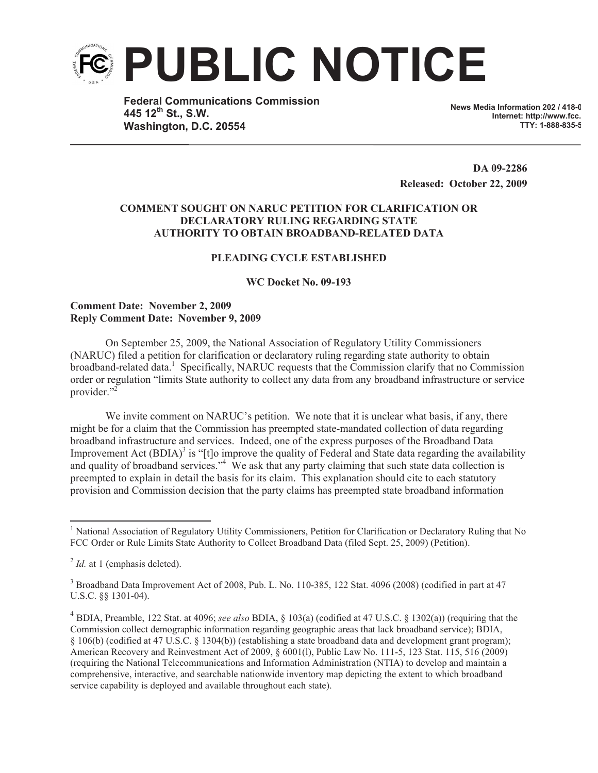

**Federal Communications Commission 445 12th St., S.W. Washington, D.C. 20554**

**News Media Information 202 / 418-0 Internet: http://www.fcc. TTY: 1-888-835-5322**

**DA 09-2286 Released: October 22, 2009**

## **COMMENT SOUGHT ON NARUC PETITION FOR CLARIFICATION OR DECLARATORY RULING REGARDING STATE AUTHORITY TO OBTAIN BROADBAND-RELATED DATA**

## **PLEADING CYCLE ESTABLISHED**

**WC Docket No. 09-193**

## **Comment Date: November 2, 2009 Reply Comment Date: November 9, 2009**

On September 25, 2009, the National Association of Regulatory Utility Commissioners (NARUC) filed a petition for clarification or declaratory ruling regarding state authority to obtain broadband-related data.<sup>1</sup> Specifically, NARUC requests that the Commission clarify that no Commission order or regulation "limits State authority to collect any data from any broadband infrastructure or service provider."<sup>2</sup>

We invite comment on NARUC's petition. We note that it is unclear what basis, if any, there might be for a claim that the Commission has preempted state-mandated collection of data regarding broadband infrastructure and services. Indeed, one of the express purposes of the Broadband Data Improvement Act  $(BDIA)^3$  is "[t]o improve the quality of Federal and State data regarding the availability and quality of broadband services."<sup>4</sup> We ask that any party claiming that such state data collection is preempted to explain in detail the basis for its claim. This explanation should cite to each statutory provision and Commission decision that the party claims has preempted state broadband information

<sup>&</sup>lt;sup>1</sup> National Association of Regulatory Utility Commissioners, Petition for Clarification or Declaratory Ruling that No FCC Order or Rule Limits State Authority to Collect Broadband Data (filed Sept. 25, 2009) (Petition).

<sup>&</sup>lt;sup>2</sup> *Id.* at 1 (emphasis deleted).

<sup>3</sup> Broadband Data Improvement Act of 2008, Pub. L. No. 110-385, 122 Stat. 4096 (2008) (codified in part at 47 U.S.C. §§ 1301-04).

<sup>4</sup> BDIA, Preamble, 122 Stat. at 4096; *see also* BDIA, § 103(a) (codified at 47 U.S.C. § 1302(a)) (requiring that the Commission collect demographic information regarding geographic areas that lack broadband service); BDIA, § 106(b) (codified at 47 U.S.C. § 1304(b)) (establishing a state broadband data and development grant program); American Recovery and Reinvestment Act of 2009, § 6001(l), Public Law No. 111-5, 123 Stat. 115, 516 (2009) (requiring the National Telecommunications and Information Administration (NTIA) to develop and maintain a comprehensive, interactive, and searchable nationwide inventory map depicting the extent to which broadband service capability is deployed and available throughout each state).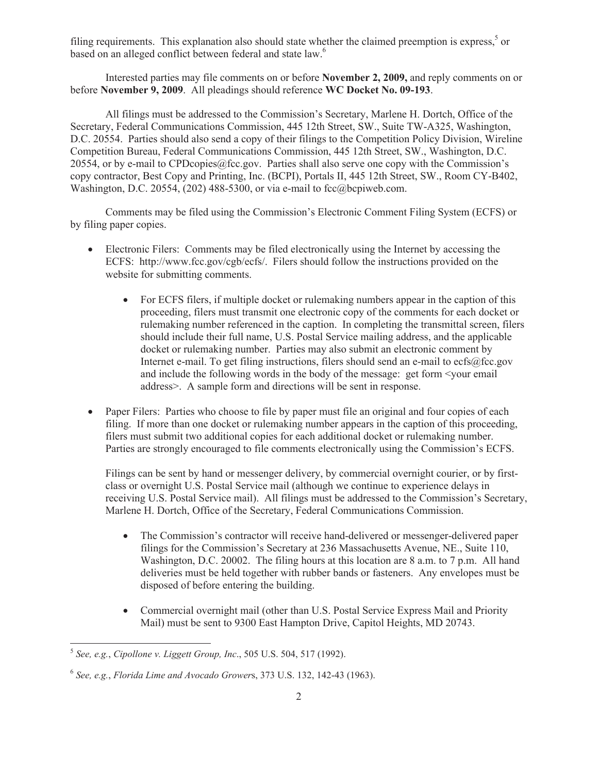filing requirements. This explanation also should state whether the claimed preemption is express,<sup>5</sup> or based on an alleged conflict between federal and state law.<sup>6</sup>

Interested parties may file comments on or before **November 2, 2009,** and reply comments on or before **November 9, 2009**. All pleadings should reference **WC Docket No. 09-193**.

All filings must be addressed to the Commission's Secretary, Marlene H. Dortch, Office of the Secretary, Federal Communications Commission, 445 12th Street, SW., Suite TW-A325, Washington, D.C. 20554. Parties should also send a copy of their filings to the Competition Policy Division, Wireline Competition Bureau, Federal Communications Commission, 445 12th Street, SW., Washington, D.C. 20554, or by e-mail to CPDcopies@fcc.gov. Parties shall also serve one copy with the Commission's copy contractor, Best Copy and Printing, Inc. (BCPI), Portals II, 445 12th Street, SW., Room CY-B402, Washington, D.C. 20554, (202) 488-5300, or via e-mail to fcc@bcpiweb.com.

Comments may be filed using the Commission's Electronic Comment Filing System (ECFS) or by filing paper copies.

- Electronic Filers: Comments may be filed electronically using the Internet by accessing the ECFS: http://www.fcc.gov/cgb/ecfs/. Filers should follow the instructions provided on the website for submitting comments.
	- For ECFS filers, if multiple docket or rulemaking numbers appear in the caption of this proceeding, filers must transmit one electronic copy of the comments for each docket or rulemaking number referenced in the caption. In completing the transmittal screen, filers should include their full name, U.S. Postal Service mailing address, and the applicable docket or rulemaking number. Parties may also submit an electronic comment by Internet e-mail. To get filing instructions, filers should send an e-mail to ecfs@fcc.gov and include the following words in the body of the message: get form <your email address>. A sample form and directions will be sent in response.
- Paper Filers: Parties who choose to file by paper must file an original and four copies of each filing. If more than one docket or rulemaking number appears in the caption of this proceeding, filers must submit two additional copies for each additional docket or rulemaking number. Parties are strongly encouraged to file comments electronically using the Commission's ECFS.

Filings can be sent by hand or messenger delivery, by commercial overnight courier, or by firstclass or overnight U.S. Postal Service mail (although we continue to experience delays in receiving U.S. Postal Service mail). All filings must be addressed to the Commission's Secretary, Marlene H. Dortch, Office of the Secretary, Federal Communications Commission.

- The Commission's contractor will receive hand-delivered or messenger-delivered paper filings for the Commission's Secretary at 236 Massachusetts Avenue, NE., Suite 110, Washington, D.C. 20002. The filing hours at this location are 8 a.m. to 7 p.m. All hand deliveries must be held together with rubber bands or fasteners. Any envelopes must be disposed of before entering the building.
- Commercial overnight mail (other than U.S. Postal Service Express Mail and Priority Mail) must be sent to 9300 East Hampton Drive, Capitol Heights, MD 20743.

<sup>5</sup> *See, e.g.*, *Cipollone v. Liggett Group, Inc*., 505 U.S. 504, 517 (1992).

<sup>6</sup> *See, e.g.*, *Florida Lime and Avocado Grower*s, 373 U.S. 132, 142-43 (1963).